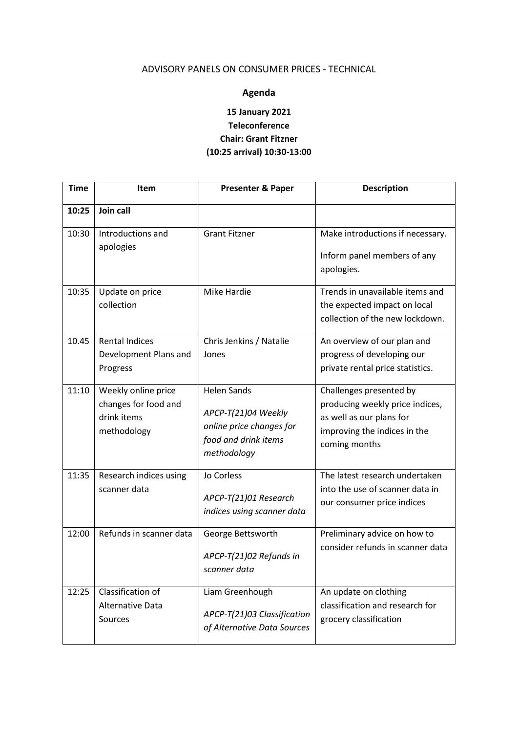## ADVISORY PANELS ON CONSUMER PRICES - TECHNICAL

## **Agenda**

## **15 January 2021 Teleconference Chair: Grant Fitzner (10:25 arrival) 10:30-13:00**

| <b>Time</b> | Item                                                                      | <b>Presenter &amp; Paper</b>                                                                                 | <b>Description</b>                                                                                                                      |
|-------------|---------------------------------------------------------------------------|--------------------------------------------------------------------------------------------------------------|-----------------------------------------------------------------------------------------------------------------------------------------|
| 10:25       | Join call                                                                 |                                                                                                              |                                                                                                                                         |
| 10:30       | Introductions and<br>apologies                                            | <b>Grant Fitzner</b>                                                                                         | Make introductions if necessary.<br>Inform panel members of any<br>apologies.                                                           |
| 10:35       | Update on price<br>collection                                             | Mike Hardie                                                                                                  | Trends in unavailable items and<br>the expected impact on local<br>collection of the new lockdown.                                      |
| 10.45       | <b>Rental Indices</b><br>Development Plans and<br>Progress                | Chris Jenkins / Natalie<br>Jones                                                                             | An overview of our plan and<br>progress of developing our<br>private rental price statistics.                                           |
| 11:10       | Weekly online price<br>changes for food and<br>drink items<br>methodology | <b>Helen Sands</b><br>APCP-T(21)04 Weekly<br>online price changes for<br>food and drink items<br>methodology | Challenges presented by<br>producing weekly price indices,<br>as well as our plans for<br>improving the indices in the<br>coming months |
| 11:35       | Research indices using<br>scanner data                                    | Jo Corless<br>APCP-T(21)01 Research<br>indices using scanner data                                            | The latest research undertaken<br>into the use of scanner data in<br>our consumer price indices                                         |
| 12:00       | Refunds in scanner data                                                   | George Bettsworth<br>APCP-T(21)02 Refunds in<br>scanner data                                                 | Preliminary advice on how to<br>consider refunds in scanner data                                                                        |
| 12:25       | Classification of<br><b>Alternative Data</b><br>Sources                   | Liam Greenhough<br>APCP-T(21)03 Classification<br>of Alternative Data Sources                                | An update on clothing<br>classification and research for<br>grocery classification                                                      |